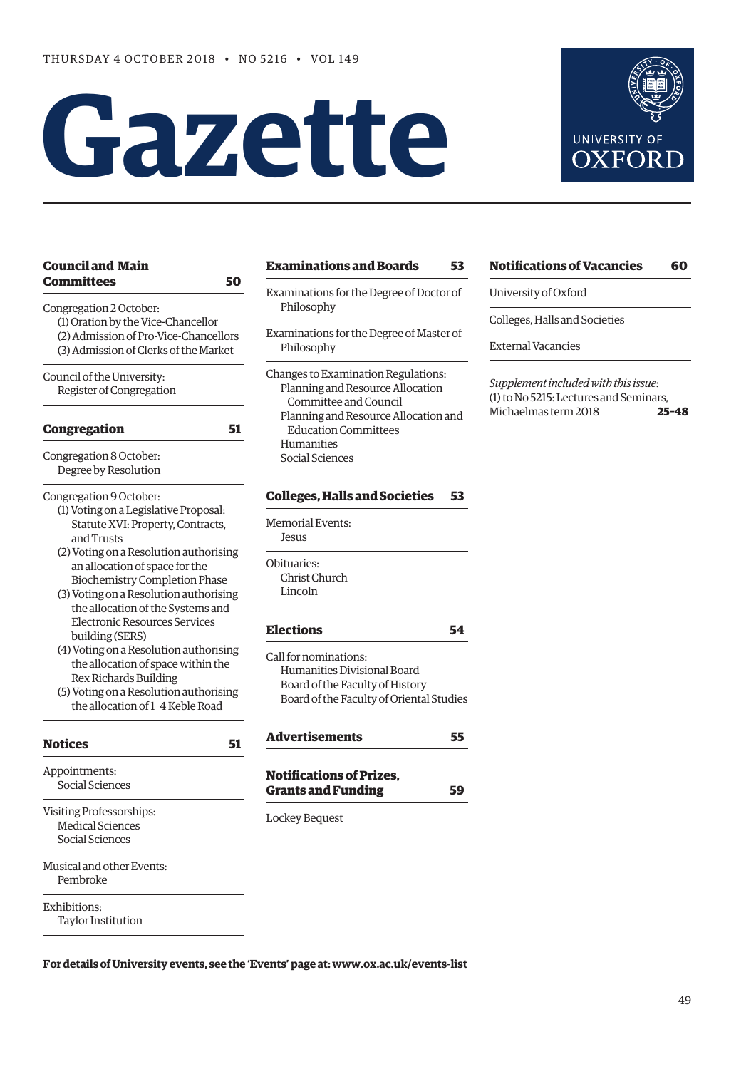# **Gazet te**



| <b>Council and Main</b>                                                                                                            | <b>Examinations and Boards</b>                                                                   | 53 |
|------------------------------------------------------------------------------------------------------------------------------------|--------------------------------------------------------------------------------------------------|----|
| Committees<br>50<br>Congregation 2 October:                                                                                        | Examinations for the Degree of Doctor of<br>Philosophy                                           |    |
| (1) Oration by the Vice-Chancellor<br>(2) Admission of Pro-Vice-Chancellors<br>(3) Admission of Clerks of the Market               | Examinations for the Degree of Master of<br>Philosophy                                           |    |
| Council of the University:<br>Register of Congregation                                                                             | Changes to Examination Regulations:<br>Planning and Resource Allocation<br>Committee and Council |    |
| 51<br><b>Congregation</b>                                                                                                          | Planning and Resource Allocation and<br><b>Education Committees</b>                              |    |
| Congregation 8 October:<br>Degree by Resolution                                                                                    | Humanities<br>Social Sciences                                                                    |    |
| Congregation 9 October:                                                                                                            | <b>Colleges, Halls and Societies</b>                                                             | 53 |
| (1) Voting on a Legislative Proposal:<br>Statute XVI: Property, Contracts,<br>and Trusts<br>(2) Voting on a Resolution authorising | <b>Memorial Events:</b><br>Jesus                                                                 |    |
| an allocation of space for the                                                                                                     | Obituaries:                                                                                      |    |
| <b>Biochemistry Completion Phase</b>                                                                                               | Christ Church<br>Lincoln                                                                         |    |
| (3) Voting on a Resolution authorising<br>the allocation of the Systems and                                                        |                                                                                                  |    |
| <b>Electronic Resources Services</b><br>building (SERS)                                                                            | <b>Elections</b>                                                                                 | 54 |
| (4) Voting on a Resolution authorising                                                                                             | Call for nominations:                                                                            |    |
| the allocation of space within the<br>Rex Richards Building                                                                        | Humanities Divisional Board                                                                      |    |
| (5) Voting on a Resolution authorising                                                                                             | Board of the Faculty of History<br>Board of the Faculty of Oriental Studie                       |    |
| the allocation of 1-4 Keble Road                                                                                                   |                                                                                                  |    |
| <b>Notices</b><br>51                                                                                                               | <b>Advertisements</b>                                                                            | 55 |
| Appointments:                                                                                                                      | <b>Notifications of Prizes,</b>                                                                  |    |
| Social Sciences                                                                                                                    | <b>Grants and Funding</b>                                                                        | 59 |
| Visiting Professorships:                                                                                                           | Lockey Bequest                                                                                   |    |
| <b>Medical Sciences</b>                                                                                                            |                                                                                                  |    |
| Social Sciences                                                                                                                    |                                                                                                  |    |
| Musical and other Events:<br>Pembroke                                                                                              |                                                                                                  |    |
| Exhibitions:                                                                                                                       |                                                                                                  |    |

Taylor Institution

- gree of Doctor of
- gree of Master of

## **Cocieties** 53

### **[Elections](#page-5-0) 54** l Board f History f Oriental Studies

#### **[Notifications of Vacancies 60](#page-11-0)**

University of Oxford

Colleges, Halls and Societies

External Vacancies

*Supplement included with this issue*: (1) to No 5215: Lectures and Seminars, Michaelmas term 2018 **25–48**

**For details of University events, see the 'Events' page at: [www.ox.ac.uk/events-list](http://www.ox.ac.uk/events-list)**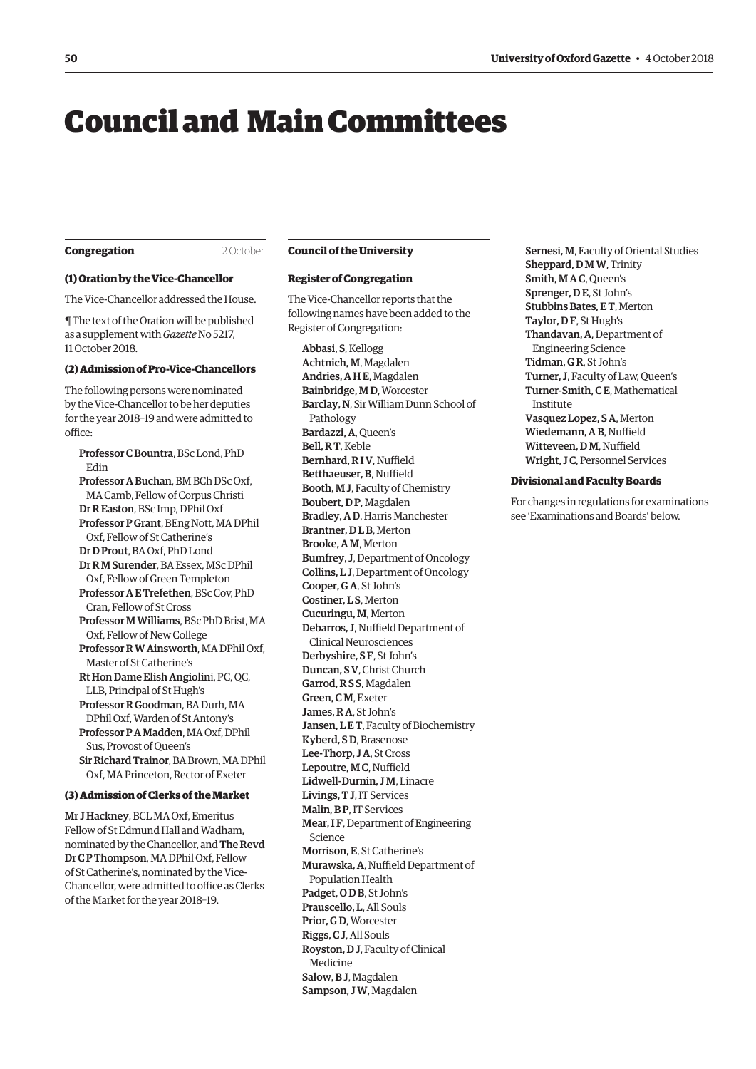## <span id="page-1-0"></span>Council and Main Committees

#### **Congregation** 2 October

#### **(1) Oration by the Vice-Chancellor**

The Vice-Chancellor addressed the House.

¶ The text of the Oration will be published as a supplement with *Gazette* No 5217, 11 October 2018.

#### **(2) Admission of Pro-Vice-Chancellors**

The following persons were nominated by the Vice-Chancellor to be her deputies for the year 2018–19 and were admitted to office:

Professor C Bountra, BSc Lond, PhD Edin Professor A Buchan, BM BCh DSc Oxf, MA Camb, Fellow of Corpus Christi Dr R Easton, BSc Imp, DPhil Oxf Professor P Grant, BEng Nott, MA DPhil Oxf, Fellow of St Catherine's Dr D Prout, BA Oxf, PhD Lond Dr R M Surender, BA Essex, MSc DPhil Oxf, Fellow of Green Templeton Professor A E Trefethen, BSc Cov, PhD Cran, Fellow of St Cross Professor M Williams, BSc PhD Brist, MA Oxf, Fellow of New College Professor R W Ainsworth, MA DPhil Oxf, Master of St Catherine's Rt Hon Dame Elish Angiolini, PC, QC, LLB, Principal of St Hugh's Professor R Goodman, BA Durh, MA DPhil Oxf, Warden of St Antony's Professor P A Madden, MA Oxf, DPhil Sus, Provost of Queen's Sir Richard Trainor, BA Brown, MA DPhil Oxf, MA Princeton, Rector of Exeter

#### **(3) Admission of Clerks of the Market**

Mr J Hackney, BCL MA Oxf, Emeritus Fellow of St Edmund Hall and Wadham, nominated by the Chancellor, and The Revd Dr C P Thompson, MA DPhil Oxf, Fellow of St Catherine's, nominated by the Vice-Chancellor, were admitted to office as Clerks of the Market for the year 2018–19.

#### **Council of the University**

#### **Register of Congregation**

The Vice-Chancellor reports that the following names have been added to the Register of Congregation:

Abbasi, S, Kellogg Achtnich, M, Magdalen Andries, A H E, Magdalen Bainbridge, M D, Worcester Barclay, N, Sir William Dunn School of Pathology Bardazzi, A, Queen's Bell, R T, Keble Bernhard, R I V, Nuffield Betthaeuser, B, Nuffield Booth, M J, Faculty of Chemistry Boubert, D P, Magdalen Bradley, A D, Harris Manchester Brantner, D L B, Merton Brooke, A M, Merton Bumfrey, J, Department of Oncology Collins, L J, Department of Oncology Cooper, G A, St John's Costiner, L S, Merton Cucuringu, M, Merton Debarros, J, Nuffield Department of Clinical Neurosciences Derbyshire, S F, St John's Duncan, S V, Christ Church Garrod, R S S, Magdalen Green, C M, Exeter James, R A, St John's Jansen, LET, Faculty of Biochemistry Kyberd, S D, Brasenose Lee-Thorp, J A, St Cross Lepoutre, M C, Nuffield Lidwell-Durnin, J M, Linacre Livings, T J, IT Services Malin, B P, IT Services Mear, IF, Department of Engineering Science Morrison, E, St Catherine's Murawska, A, Nuffield Department of Population Health Padget, O D B, St John's Prauscello, L, All Souls Prior, G D, Worcester Riggs, C J, All Souls Royston, D J, Faculty of Clinical Medicine Salow, B J, Magdalen Sampson, J W, Magdalen

Sernesi, M, Faculty of Oriental Studies Sheppard, D M W, Trinity Smith, M A C, Queen's Sprenger, D E, St John's Stubbins Bates, E T, Merton Taylor, D F, St Hugh's Thandavan, A, Department of Engineering Science Tidman, G R, St John's Turner, J, Faculty of Law, Queen's Turner-Smith, C E, Mathematical Institute Vasquez Lopez, S A, Merton Wiedemann, A B, Nuffield Witteveen, D M, Nuffield Wright, J C, Personnel Services

#### **Divisional and Faculty Boards**

For changes in regulations for examinations see 'Examinations and Boards' below.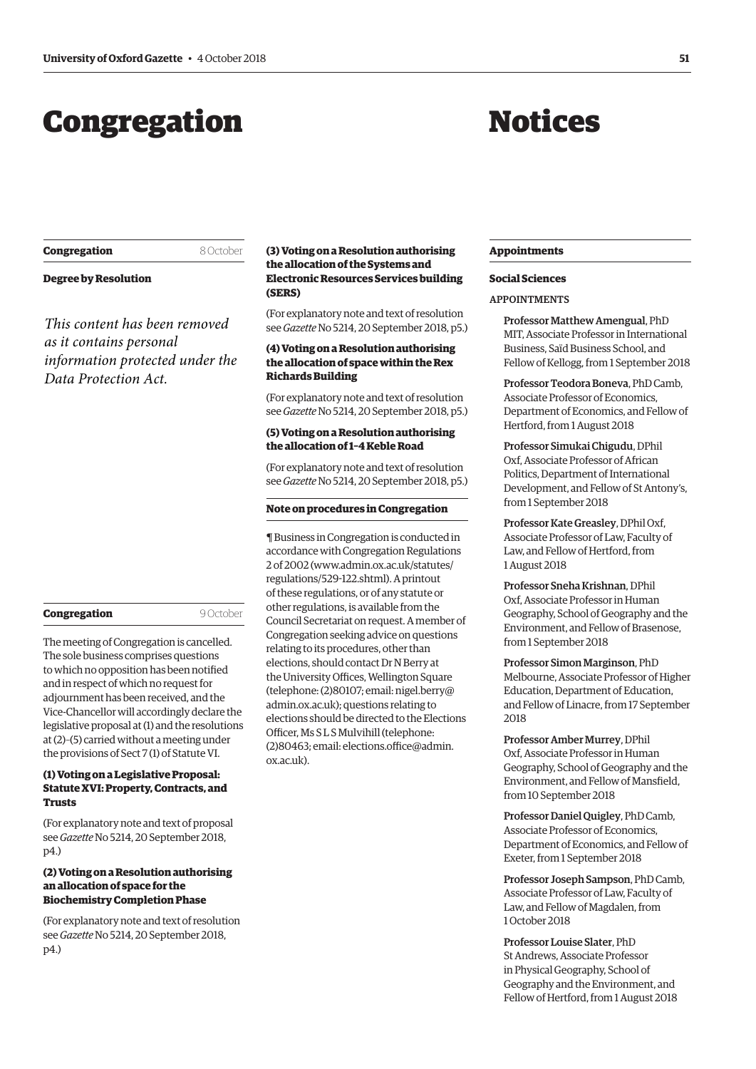## <span id="page-2-0"></span>Congregation

## Notices

| Congregation |
|--------------|
|--------------|

#### 8 October

#### **Degree by Resolution**

*This content has been removed as it contains personal information protected under the Data Protection Act.*

#### **Congregation** 9 October

The meeting of Congregation is cancelled. The sole business comprises questions to which no opposition has been notified and in respect of which no request for adjournment has been received, and the Vice-Chancellor will accordingly declare the legislative proposal at (1) and the resolutions at (2)–(5) carried without a meeting under the provisions of Sect 7 (1) of Statute VI.

#### **(1) Voting on a Legislative Proposal: Statute XVI: Property, Contracts, and Trusts**

(For explanatory note and text of proposal see *Gazette* No 5214, 20 September 2018, p4.)

#### **(2) Voting on a Resolution authorising an allocation of space for the Biochemistry Completion Phase**

(For explanatory note and text of resolution see *Gazette* No 5214, 20 September 2018, p4.)

#### **(3) Voting on a Resolution authorising the allocation of the Systems and Electronic Resources Services building (SERS)**

(For explanatory note and text of resolution see *Gazette* No 5214, 20 September 2018, p5.)

#### **(4) Voting on a Resolution authorising the allocation of space within the Rex Richards Building**

(For explanatory note and text of resolution see *Gazette* No 5214, 20 September 2018, p5.)

#### **(5) Voting on a Resolution authorising the allocation of 1–4 Keble Road**

(For explanatory note and text of resolution see *Gazette* No 5214, 20 September 2018, p5.)

#### **Note on procedures in Congregation**

¶ Business in Congregation is conducted in accordance with Congregation Regulations 2 of 2002 [\(www.admin.ox.ac.uk/statutes/](http://www.admin.ox.ac.uk/statutes/regulations/529-122.shtml) [regulations/529-122.shtml\). A p](http://www.admin.ox.ac.uk/statutes/regulations/529-122.shtml)rintout of these regulations, or of any statute or other regulations, is available from the Council Secretariat on request. A member of Congregation seeking advice on questions relating to its procedures, other than elections, should contact Dr N Berry at the University Offices, Wellington Square [\(telephone: \(2\)80107; email: nigel.berry@](mailto:nigel.berry@admin.ox.ac.uk) admin.ox.ac.uk); questions relating to elections should be directed to the Elections Officer, Ms S L S Mulvihill (telephone: [\(2\)80463; email: elections.office@admin.](mailto:elections.office@admin.ox.ac.uk) ox.ac.uk).

#### **Appointments**

#### **Social Sciences**

#### APPOINTMENTS

Professor Matthew Amengual, PhD MIT, Associate Professor in International Business, Saïd Business School, and Fellow of Kellogg, from 1 September 2018

Professor Teodora Boneva, PhD Camb, Associate Professor of Economics, Department of Economics, and Fellow of Hertford, from 1 August 2018

Professor Simukai Chigudu, DPhil Oxf, Associate Professor of African Politics, Department of International Development, and Fellow of St Antony's, from 1 September 2018

Professor Kate Greasley, DPhil Oxf, Associate Professor of Law, Faculty of Law, and Fellow of Hertford, from 1 August 2018

Professor Sneha Krishnan, DPhil Oxf, Associate Professor in Human Geography, School of Geography and the Environment, and Fellow of Brasenose, from 1 September 2018

Professor Simon Marginson, PhD Melbourne, Associate Professor of Higher Education, Department of Education, and Fellow of Linacre, from 17 September 2018

Professor Amber Murrey, DPhil Oxf, Associate Professor in Human Geography, School of Geography and the Environment, and Fellow of Mansfield, from 10 September 2018

Professor Daniel Quigley, PhD Camb, Associate Professor of Economics, Department of Economics, and Fellow of Exeter, from 1 September 2018

Professor Joseph Sampson, PhD Camb, Associate Professor of Law, Faculty of Law, and Fellow of Magdalen, from 1 October 2018

Professor Louise Slater, PhD St Andrews, Associate Professor in Physical Geography, School of Geography and the Environment, and Fellow of Hertford, from 1 August 2018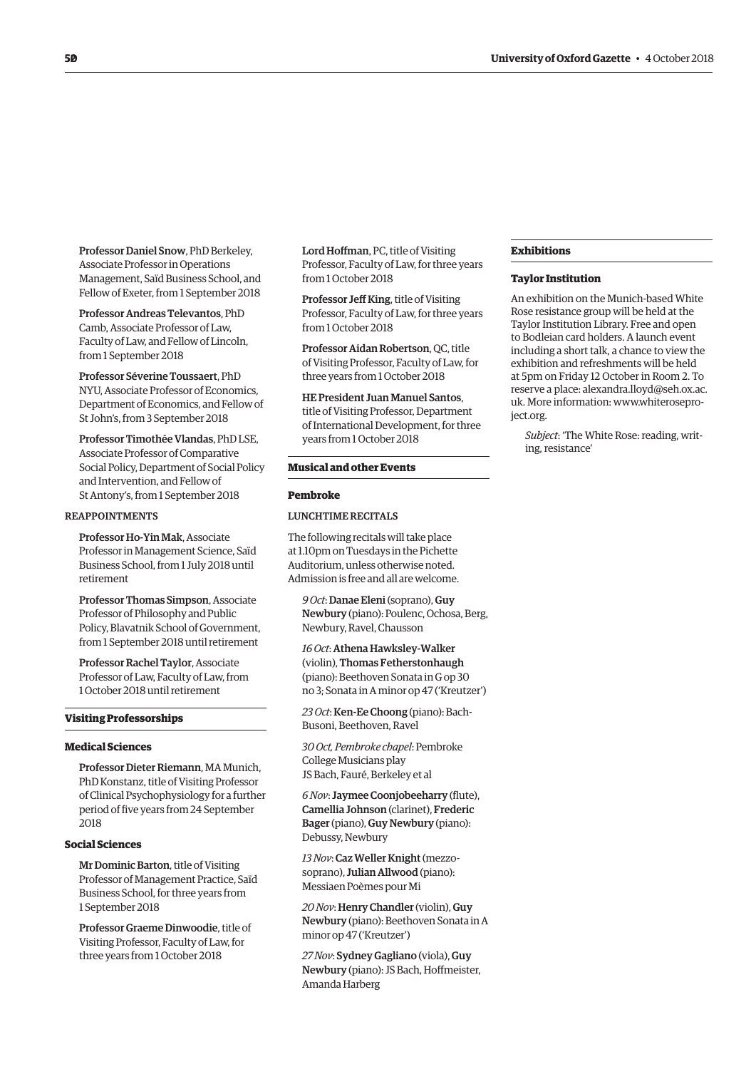Professor Daniel Snow, PhD Berkeley, Associate Professor in Operations Management, Saïd Business School, and Fellow of Exeter, from 1 September 2018

Professor Andreas Televantos, PhD Camb, Associate Professor of Law, Faculty of Law, and Fellow of Lincoln, from 1 September 2018

Professor Séverine Toussaert, PhD NYU, Associate Professor of Economics, Department of Economics, and Fellow of St John's, from 3 September 2018

Professor Timothée Vlandas, PhD LSE, Associate Professor of Comparative Social Policy, Department of Social Policy and Intervention, and Fellow of St Antony's, from 1 September 2018

#### REAPPOINTMENTS

Professor Ho-Yin Mak, Associate Professor in Management Science, Saïd Business School, from 1 July 2018 until retirement

Professor Thomas Simpson, Associate Professor of Philosophy and Public Policy, Blavatnik School of Government, from 1 September 2018 until retirement

Professor Rachel Taylor, Associate Professor of Law, Faculty of Law, from 1 October 2018 until retirement

#### **Visiting Professorships**

#### **Medical Sciences**

Professor Dieter Riemann, MA Munich, PhD Konstanz, title of Visiting Professor of Clinical Psychophysiology for a further period of five years from 24 September 2018

#### **Social Sciences**

Mr Dominic Barton, title of Visiting Professor of Management Practice, Saïd Business School, for three years from 1 September 2018

Professor Graeme Dinwoodie, title of Visiting Professor, Faculty of Law, for three years from 1 October 2018

Lord Hoffman, PC, title of Visiting Professor, Faculty of Law, for three years from 1 October 2018

Professor Jeff King, title of Visiting Professor, Faculty of Law, for three years from 1 October 2018

Professor Aidan Robertson, QC, title of Visiting Professor, Faculty of Law, for three years from 1 October 2018

HE President Juan Manuel Santos, title of Visiting Professor, Department of International Development, for three years from 1 October 2018

#### **Musical and other Events**

#### **Pembroke**

#### LUNCHTIME RECITALS

The following recitals will take place at 1.10pm on Tuesdays in the Pichette Auditorium, unless otherwise noted. Admission is free and all are welcome.

*9 Oct*: Danae Eleni (soprano), Guy Newbury (piano): Poulenc, Ochosa, Berg, Newbury, Ravel, Chausson

*16 Oct*: Athena Hawksley-Walker (violin), Thomas Fetherstonhaugh (piano): Beethoven Sonata in G op 30 no 3; Sonata in A minor op 47 ('Kreutzer')

*23 Oct*: Ken-Ee Choong (piano): Bach-Busoni, Beethoven, Ravel

*30 Oct, Pembroke chapel*: Pembroke College Musicians play JS Bach, Fauré, Berkeley et al

*6 Nov*: Jaymee Coonjobeeharry (flute), Camellia Johnson (clarinet), Frederic Bager (piano), Guy Newbury (piano): Debussy, Newbury

*13 Nov*: Caz Weller Knight (mezzosoprano), Julian Allwood (piano): Messiaen Poèmes pour Mi

*20 Nov*: Henry Chandler (violin), Guy Newbury (piano): Beethoven Sonata in A minor op 47 ('Kreutzer')

*27 Nov*: Sydney Gagliano (viola), Guy Newbury (piano): JS Bach, Hoffmeister, Amanda Harberg

#### **Exhibitions**

#### **Taylor Institution**

An exhibition on the Munich-based White Rose resistance group will be held at the Taylor Institution Library. Free and open to Bodleian card holders. A launch event including a short talk, a chance to view the exhibition and refreshments will be held at 5pm on Friday 12 October in Room 2. To reserv[e a place: alexandra.lloyd@seh.ox.ac.](mailto:alexandra.lloyd@seh.ox.ac.uk) uk. More inf[ormation: www.whiterosepro](www.whiteroseproject.org)ject.org.

*Subject*: 'The White Rose: reading, writing, resistance'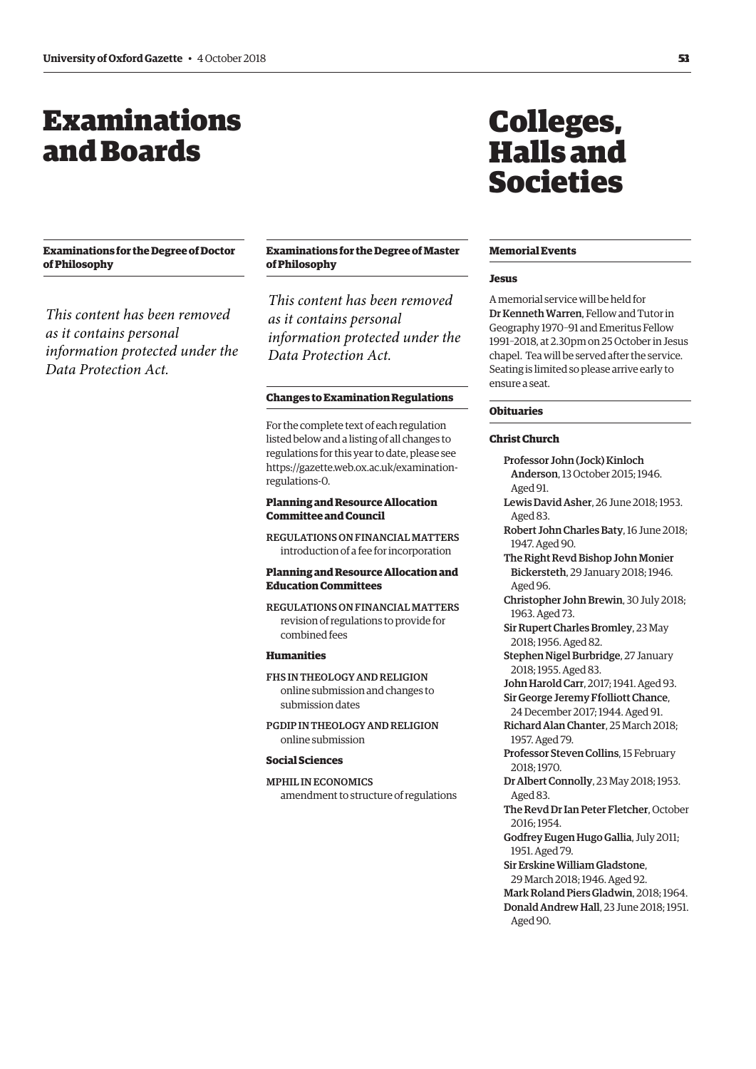## <span id="page-4-0"></span>Examinations and Boards

#### **Examinations for the Degree of Doctor of Philosophy**

*This content has been removed as it contains personal information protected under the Data Protection Act.*

#### **Examinations for the Degree of Master of Philosophy**

*This content has been removed as it contains personal information protected under the Data Protection Act.*

#### **Changes to Examination Regulations**

For the complete text of each regulation listed below and a listing of all changes to regulations for this year to date, please see [https://gazette.web.ox.ac.uk/examination](https://gazette.web.ox.ac.uk/examination-regulations-0)regulations-0.

#### **Planning and Resource Allocation Committee and Council**

REGULATIONS ON FINANCIAL MATTERS introduction of a fee for incorporation

#### **Planning and Resource Allocation and Education Committees**

REGULATIONS ON FINANCIAL MATTERS revision of regulations to provide for combined fees

#### **Humanities**

#### FHS IN THEOLOGY AND RELIGION online submission and changes to submission dates

PGDIP IN THEOLOGY AND RELIGION online submission

#### **Social Sciences**

MPHIL IN ECONOMICS amendment to structure of regulations

## Colleges, Halls and Societies

#### **Memorial Events**

#### **Jesus**

A memorial service will be held for Dr Kenneth Warren, Fellow and Tutor in Geography 1970–91 and Emeritus Fellow 1991–2018, at 2.30pm on 25 October in Jesus chapel. Tea will be served after the service. Seating is limited so please arrive early to ensure a seat.

#### **Obituaries**

#### **Christ Church**

Professor John (Jock) Kinloch Anderson, 13 October 2015; 1946. Aged 91. Lewis David Asher, 26 June 2018; 1953. Aged 83. Robert John Charles Baty, 16 June 2018; 1947. Aged 90. The Right Revd Bishop John Monier

- Bickersteth, 29 January 2018; 1946. Aged 96.
- Christopher John Brewin, 30 July 2018; 1963. Aged 73.
- Sir Rupert Charles Bromley, 23 May 2018; 1956. Aged 82.
- Stephen Nigel Burbridge, 27 January 2018; 1955. Aged 83.
- John Harold Carr, 2017; 1941. Aged 93.
- Sir George Jeremy Ffolliott Chance, 24 December 2017; 1944. Aged 91. Richard Alan Chanter, 25 March 2018;

1957. Aged 79.

Professor Steven Collins, 15 February 2018; 1970.

- Dr Albert Connolly, 23 May 2018; 1953. Aged 83.
- The Revd Dr Ian Peter Fletcher, October 2016; 1954.
- Godfrey Eugen Hugo Gallia, July 2011; 1951. Aged 79.

Sir Erskine William Gladstone, 29 March 2018; 1946. Aged 92. Mark Roland Piers Gladwin, 2018; 1964. Donald Andrew Hall, 23 June 2018; 1951. Aged 90.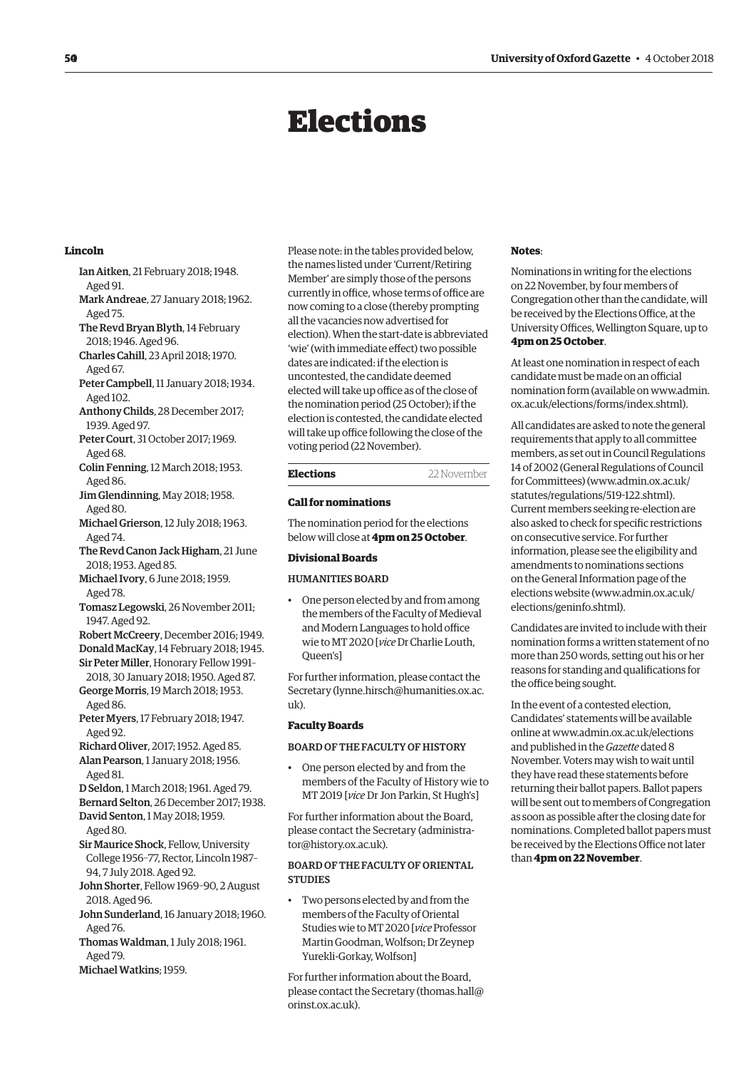## Elections

#### <span id="page-5-0"></span>**Lincoln**

- Ian Aitken, 21 February 2018; 1948. Aged 91.
- Mark Andreae, 27 January 2018; 1962. Aged 75.
- The Revd Bryan Blyth, 14 February 2018; 1946. Aged 96.
- Charles Cahill, 23 April 2018; 1970. Aged 67.
- Peter Campbell, 11 January 2018; 1934. Aged 102.
- Anthony Childs, 28 December 2017; 1939. Aged 97.
- Peter Court, 31 October 2017; 1969. Aged 68.
- Colin Fenning, 12 March 2018; 1953. Aged 86.
- Jim Glendinning, May 2018; 1958. Aged 80.
- Michael Grierson, 12 July 2018; 1963. Aged 74.
- The Revd Canon Jack Higham, 21 June 2018; 1953. Aged 85.
- Michael Ivory, 6 June 2018; 1959. Aged 78.
- Tomasz Legowski, 26 November 2011; 1947. Aged 92.
- Robert McCreery, December 2016; 1949.
- Donald MacKay, 14 February 2018; 1945.
- Sir Peter Miller, Honorary Fellow 1991– 2018, 30 January 2018; 1950. Aged 87. George Morris, 19 March 2018; 1953.
- Aged 86.
- Peter Myers, 17 February 2018; 1947. Aged 92.
- Richard Oliver, 2017; 1952. Aged 85. Alan Pearson, 1 January 2018; 1956.
- Aged 81.
- D Seldon, 1 March 2018; 1961. Aged 79.
- Bernard Selton, 26 December 2017; 1938.
- David Senton, 1 May 2018; 1959.
- Aged 80.
- Sir Maurice Shock, Fellow, University College 1956–77, Rector, Lincoln 1987– 94, 7 July 2018. Aged 92.
- John Shorter, Fellow 1969–90, 2 August 2018. Aged 96.
- John Sunderland, 16 January 2018; 1960. Aged 76.
- Thomas Waldman, 1 July 2018; 1961. Aged 79.
- Michael Watkins; 1959.

Please note: in the tables provided below, the names listed under 'Current/Retiring Member' are simply those of the persons currently in office, whose terms of office are now coming to a close (thereby prompting all the vacancies now advertised for election). When the start-date is abbreviated 'wie' (with immediate effect) two possible dates are indicated: if the election is uncontested, the candidate deemed elected will take up office as of the close of the nomination period (25 October); if the election is contested, the candidate elected will take up office following the close of the voting period (22 November).

#### **Elections** 22 November

#### **Call for nominations**

The nomination period for the elections below will close at **4pm on 25 October**.

#### **Divisional Boards**

#### HUMANITIES BOARD

• One person elected by and from among the members of the Faculty of Medieval and Modern Languages to hold office wie to MT 2020 [*vice* Dr Charlie Louth, Queen's]

For further information, please contact the Secretary ([lynne.hirsch@humanities.ox.ac.](mailto:lynne.hirsch@humanities.ox.ac.uk) [uk\).](mailto:lynne.hirsch@humanities.ox.ac.uk)

#### **Faculty Boards**

#### BOARD OF THE FACULTY OF HISTORY

• One person elected by and from the members of the Faculty of History wie to MT 2019 [*vice* Dr Jon Parkin, St Hugh's]

For further information about the Board, [please contact the Secretary \(administra](mailto:administrator@history.ox.ac.uk)tor@history.ox.ac.uk).

#### BOARD OF THE FACULTY OF ORIENTAL **STUDIES**

• Two persons elected by and from the members of the Faculty of Oriental Studies wie to MT 2020 [*vice* Professor Martin Goodman, Wolfson; Dr Zeynep Yurekli-Gorkay, Wolfson]

For further information about the Board, please contact the Secretary ([thomas.hall@](mailto:thomas.hall@orinst.ox.ac.uk) [orinst.ox.ac.uk\).](mailto:thomas.hall@orinst.ox.ac.uk)

#### **Notes**:

Nominations in writing for the elections on 22 November, by four members of Congregation other than the candidate, will be received by the Elections Office, at the University Offices, Wellington Square, up to **4pm on 25 October**.

At least one nomination in respect of each candidate must be made on an official [nomination form \(available on www.admin.](www.admin.ox.ac.uk/elections/forms/index.shtml) ox.ac.uk/elections/forms/index.shtml).

All candidates are asked to note the general requirements that apply to all committee members, as set out in Council Regulations 4 of 2002 (General Regulations of Council for Committees) ([www.admin.ox.ac.uk/](http://www.admin.ox.ac.uk/statutes/regulations/519-122.shtml) [statutes/regulations/519-122.shtml\).](http://www.admin.ox.ac.uk/statutes/regulations/519-122.shtml)  Current members seeking re-election are also asked to check for specific restrictions on consecutive service. For further information, please see the eligibility and amendments to nominations sections on the General Information page of the elections website ([www.admin.ox.ac.uk/](http://www.admin.ox.ac.uk/elections/geninfo.shtml) [elections/geninfo.shtml\).](http://www.admin.ox.ac.uk/elections/geninfo.shtml) 

Candidates are invited to include with their nomination forms a written statement of no more than 250 words, setting out his or her reasons for standing and qualifications for the office being sought.

In the event of a contested election, Candidates' statements will be available online at [www.admin.ox.ac.uk/elections](http://www.admin.ox.ac.uk/elections)  and published in the *Gazette* dated 8 November. Voters may wish to wait until they have read these statements before returning their ballot papers. Ballot papers will be sent out to members of Congregation as soon as possible after the closing date for nominations. Completed ballot papers must be received by the Elections Office not later than **4pm on 22 November**.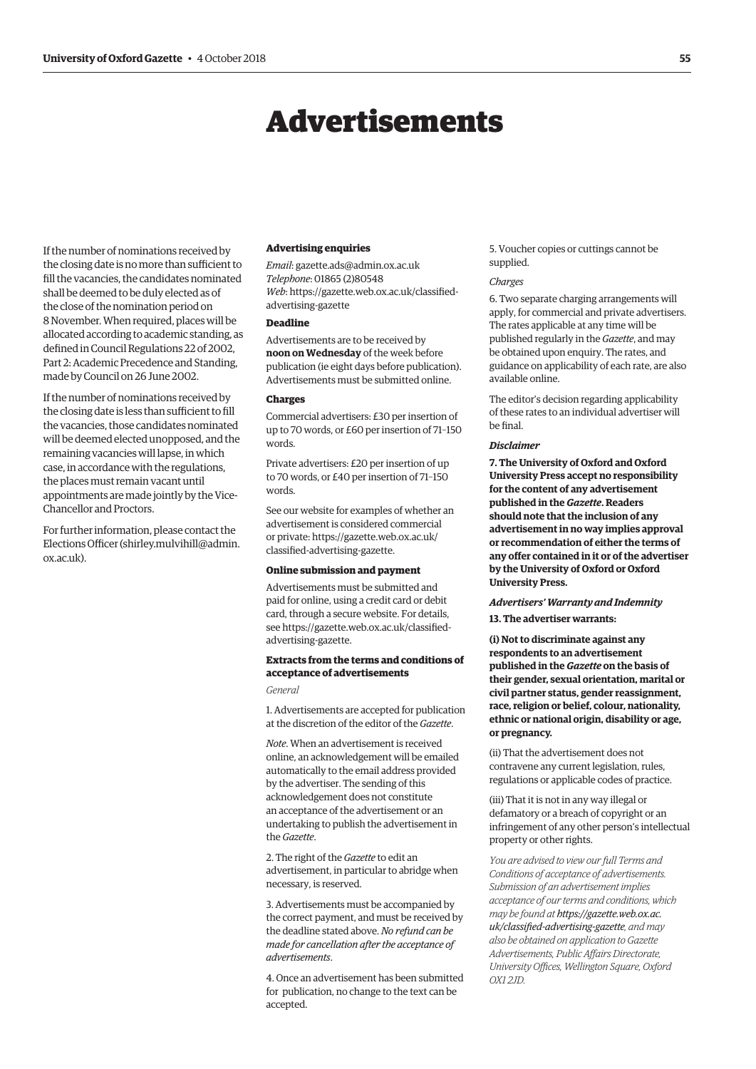## Advertisements

<span id="page-6-0"></span>If the number of nominations received by the closing date is no more than sufficient to fill the vacancies, the candidates nominated shall be deemed to be duly elected as of the close of the nomination period on 8 November. When required, places will be allocated according to academic standing, as defined in Council Regulations 22 of 2002, Part 2: Academic Precedence and Standing, made by Council on 26 June 2002.

If the number of nominations received by the closing date is less than sufficient to fill the vacancies, those candidates nominated will be deemed elected unopposed, and the remaining vacancies will lapse, in which case, in accordance with the regulations, the places must remain vacant until appointments are made jointly by the Vice-Chancellor and Proctors.

For further information, please contact the Elections Officer [\(shirley.mulvihill@admin.](mailto:shirley.mulvihill@admin.ox.ac.uk) [ox.ac.uk\).](mailto:shirley.mulvihill@admin.ox.ac.uk) 

#### **Advertising enquiries**

*Email*: [gazette.ads@admin.ox.ac.uk](mailto:gazette.ads@admin.ox.ac.uk) *Telephone*: 01865 (2)80548 *Web*[: https://gazette.web.ox.ac.uk/classified](https://gazette.web.ox.ac.uk/classified-advertising-gazette)advertising-gazette

#### **Deadline**

Advertisements are to be received by **noon on Wednesday** of the week before publication (ie eight days before publication). Advertisements must be submitted online.

#### **Charges**

Commercial advertisers: £30 per insertion of up to 70 words, or £60 per insertion of 71–150 words.

Private advertisers: £20 per insertion of up to 70 words, or £40 per insertion of 71–150 words.

See our website for examples of whether an advertisement is considered commercial [or private: https://gazette.web.ox.ac.uk/](https://gazette.web.ox.ac.uk/classified-advertising-gazette) classified-advertising-gazette.

#### **Online submission and payment**

Advertisements must be submitted and paid for online, using a credit card or debit card, through a secure website. For details, [see https://gazette.web.ox.ac.uk/classified](https://gazette.web.ox.ac.uk/classified-advertising-gazette)advertising-gazette.

#### **Extracts from the terms and conditions of acceptance of advertisements**

*General*

1. Advertisements are accepted for publication at the discretion of the editor of the *Gazette*.

*Note*. When an advertisement is received online, an acknowledgement will be emailed automatically to the email address provided by the advertiser. The sending of this acknowledgement does not constitute an acceptance of the advertisement or an undertaking to publish the advertisement in the *Gazette*.

2. The right of the *Gazette* to edit an advertisement, in particular to abridge when necessary, is reserved.

3. Advertisements must be accompanied by the correct payment, and must be received by the deadline stated above. *No refund can be made for cancellation after the acceptance of advertisements*.

4. Once an advertisement has been submitted for publication, no change to the text can be accepted.

5. Voucher copies or cuttings cannot be supplied.

#### *Charges*

6. Two separate charging arrangements will apply, for commercial and private advertisers. The rates applicable at any time will be published regularly in the *Gazette*, and may be obtained upon enquiry. The rates, and guidance on applicability of each rate, are also available online.

The editor's decision regarding applicability of these rates to an individual advertiser will be final.

#### *Disclaimer*

**7. The University of Oxford and Oxford University Press accept no responsibility for the content of any advertisement published in the** *Gazette***. Readers should note that the inclusion of any advertisement in no way implies approval or recommendation of either the terms of any offer contained in it or of the advertiser by the University of Oxford or Oxford University Press.**

#### *Advertisers' Warranty and Indemnity*

**13. The advertiser warrants:**

**(i) Not to discriminate against any respondents to an advertisement published in the** *Gazette* **on the basis of their gender, sexual orientation, marital or civil partner status, gender reassignment, race, religion or belief, colour, nationality, ethnic or national origin, disability or age, or pregnancy.**

(ii) That the advertisement does not contravene any current legislation, rules, regulations or applicable codes of practice.

(iii) That it is not in any way illegal or defamatory or a breach of copyright or an infringement of any other person's intellectual property or other rights.

*You are advised to view our full Terms and Conditions of acceptance of advertisements. Submission of an advertisement implies acceptance of our terms and conditions, which may be found at https://gazette.web.ox.ac. [uk/classified-advertising-gazette](https://gazette.web.ox.ac.uk/classified-advertising-gazette), and may also be obtained on application to Gazette Advertisements, Public Affairs Directorate, University Offices, Wellington Square, Oxford OX1 2JD.*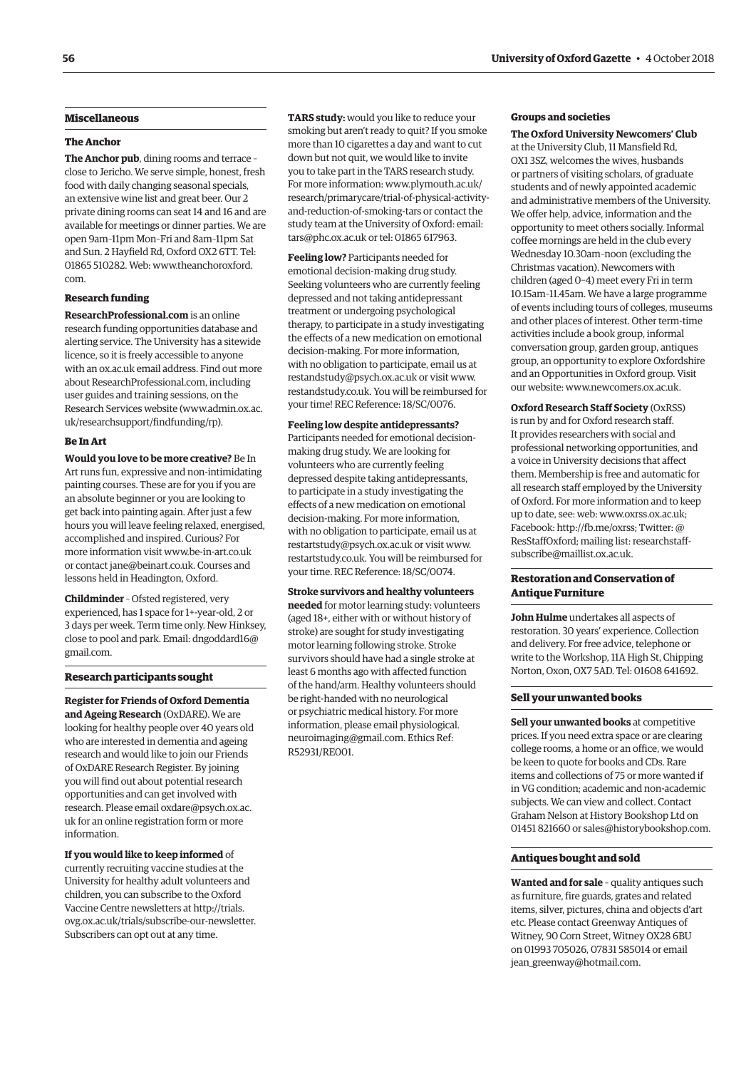#### **Miscellaneous**

#### **The Anchor**

**The Anchor pub**, dining rooms and terrace – close to Jericho. We serve simple, honest, fresh food with daily changing seasonal specials, an extensive wine list and great beer. Our 2 private dining rooms can seat 14 and 16 and are available for meetings or dinner parties. We are open 9am–11pm Mon–Fri and 8am–11pm Sat and Sun. 2 Hayfield Rd, Oxford OX2 6TT. Tel: [01865 510282. Web: www.theanchoroxford.](www.theanchoroxford.com) com.

#### **Research funding**

**ResearchProfessional.com** is an online research funding opportunities database and alerting service. The University has a sitewide licence, so it is freely accessible to anyone with an ox.ac.uk email address. Find out more about ResearchProfessional.com, including user guides and training sessions, on the Research Services website [\(www.admin.ox.ac.](http://www.admin.ox.ac.uk/researchsupport/findfunding/rp) [uk/researchsupport/findfunding/rp\).](http://www.admin.ox.ac.uk/researchsupport/findfunding/rp) 

#### **Be In Art**

**Would you love to be more creative?** Be In Art runs fun, expressive and non-intimidating painting courses. These are for you if you are an absolute beginner or you are looking to get back into painting again. After just a few hours you will leave feeling relaxed, energised, accomplished and inspired. Curious? For more information visit [www.be-in-art.co.uk](http://www.be-in-art.co.uk)  or contact [jane@beinart.co.uk. Co](mailto:jane@beinart.co.uk)urses and lessons held in Headington, Oxford.

**Childminder** – Ofsted registered, very experienced, has 1 space for 1+-year-old, 2 or 3 days per week. Term time only. New Hinksey, [close to pool and park. Email: dngoddard16@](mailto:dngoddard16@gmail.com) gmail.com.

#### **Research participants sought**

**Register for Friends of Oxford Dementia and Ageing Research** (OxDARE). We are looking for healthy people over 40 years old who are interested in dementia and ageing research and would like to join our Friends of OxDARE Research Register. By joining you will find out about potential research opportunities and can get involved with [research. Please email oxdare@psych.ox.ac.](mailto:oxdare@psych.ox.ac.uk) uk for an online registration form or more information.

**If you would like to keep informed** of currently recruiting vaccine studies at the University for healthy adult volunteers and children, you can subscribe to the Oxford Vaccine Centre newsletters at http://trials. [ovg.ox.ac.uk/trials/subscribe-our-newsletter.](http://trials.ovg.ox.ac.uk/trials/subscribe-our-newsletter)  Subscribers can opt out at any time.

**TARS study:** would you like to reduce your smoking but aren't ready to quit? If you smoke more than 10 cigarettes a day and want to cut down but not quit, we would like to invite you to take part in the TARS research study. For more information: www.plymouth.ac.uk/ [research/primarycare/trial-of-physical-activity](www.plymouth.ac.uk/research/primarycare/trial-of-physical-activity-and-reduction-of-smoking-tars)and-reduction-of-smoking-tars or contact the study team at the University of Oxford: email: [tars@phc.ox.ac.uk or](mailto:tars@phc.ox.ac.uk) tel: 01865 617963.

**Feeling low?** Participants needed for emotional decision-making drug study. Seeking volunteers who are currently feeling depressed and not taking antidepressant treatment or undergoing psychological therapy, to participate in a study investigating the effects of a new medication on emotional decision-making. For more information, with no obligation to participate, email us at [restandstudy@psych.ox.ac.uk or](mailto:restandstudy@psych.ox.ac.uk) visit [www.](http://www.restandstudy.co.uk) [restandstudy.co.uk. You](http://www.restandstudy.co.uk) will be reimbursed for your time! REC Reference: 18/SC/0076.

#### **Feeling low despite antidepressants?**

Participants needed for emotional decisionmaking drug study. We are looking for volunteers who are currently feeling depressed despite taking antidepressants, to participate in a study investigating the effects of a new medication on emotional decision-making. For more information, with no obligation to participate, email us at [restartstudy@psych.ox.ac.uk or](mailto:restartstudy@psych.ox.ac.uk) visit [www.](http://www.restartstudy.co.uk) [restartstudy.co.uk. Yo](http://www.restartstudy.co.uk)u will be reimbursed for your time. REC Reference: 18/SC/0074.

#### **Stroke survivors and healthy volunteers**

**needed** for motor learning study: volunteers (aged 18+, either with or without history of stroke) are sought for study investigating motor learning following stroke. Stroke survivors should have had a single stroke at least 6 months ago with affected function of the hand/arm. Healthy volunteers should be right-handed with no neurological or psychiatric medical history. For more [information, please email physiological.](mailto:physiological.neuroimaging@gmail.com) neuroimaging@gmail.com. Ethics Ref: R52931/RE001.

#### **Groups and societies**

#### **The Oxford University Newcomers' Club**

at the University Club, 11 Mansfield Rd, OX1 3SZ, welcomes the wives, husbands or partners of visiting scholars, of graduate students and of newly appointed academic and administrative members of the University. We offer help, advice, information and the opportunity to meet others socially. Informal coffee mornings are held in the club every Wednesday 10.30am–noon (excluding the Christmas vacation). Newcomers with children (aged 0–4) meet every Fri in term 10.15am–11.45am. We have a large programme of events including tours of colleges, museums and other places of interest. Other term-time activities include a book group, informal conversation group, garden group, antiques group, an opportunity to explore Oxfordshire and an Opportunities in Oxford group. Visit our website: [www.newcomers.ox.ac.uk.](http://www.newcomers.ox.ac.uk) 

**Oxford Research Staff Society** (OxRSS) is run by and for Oxford research staff. It provides researchers with social and professional networking opportunities, and a voice in University decisions that affect them. Membership is free and automatic for all research staff employed by the University of Oxford. For more information and to keep up to date, see: web: [www.oxrss.ox.ac.uk;](http://www.oxrss.ox.ac.uk)  Facebook: [http://fb.me/oxrss; Tw](http://fb.me/oxrss)itter: @ [ResStaffOxford; mailing list: researchstaff](mailto:researchstaff-subscribe@maillist.ox.ac.uk)subscribe@maillist.ox.ac.uk.

#### **Restoration and Conservation of Antique Furniture**

**John Hulme** undertakes all aspects of restoration. 30 years' experience. Collection and delivery. For free advice, telephone or write to the Workshop, 11A High St, Chipping Norton, Oxon, OX7 5AD. Tel: 01608 641692.

#### **Sell your unwanted books**

**Sell your unwanted books** at competitive prices. If you need extra space or are clearing college rooms, a home or an office, we would be keen to quote for books and CDs. Rare items and collections of 75 or more wanted if in VG condition; academic and non-academic subjects. We can view and collect. Contact Graham Nelson at History Bookshop Ltd on 01451 821660 or [sales@historybookshop.com.](mailto:sales@historybookshop.com)

#### **Antiques bought and sold**

**Wanted and for sale** – quality antiques such as furniture, fire guards, grates and related items, silver, pictures, china and objects d'art etc. Please contact Greenway Antiques of Witney, 90 Corn Street, Witney OX28 6BU on 01993 705026, 07831 585014 or email [jean\\_greenway@hotmail.com.](mailto:jean_greenway@hotmail.com)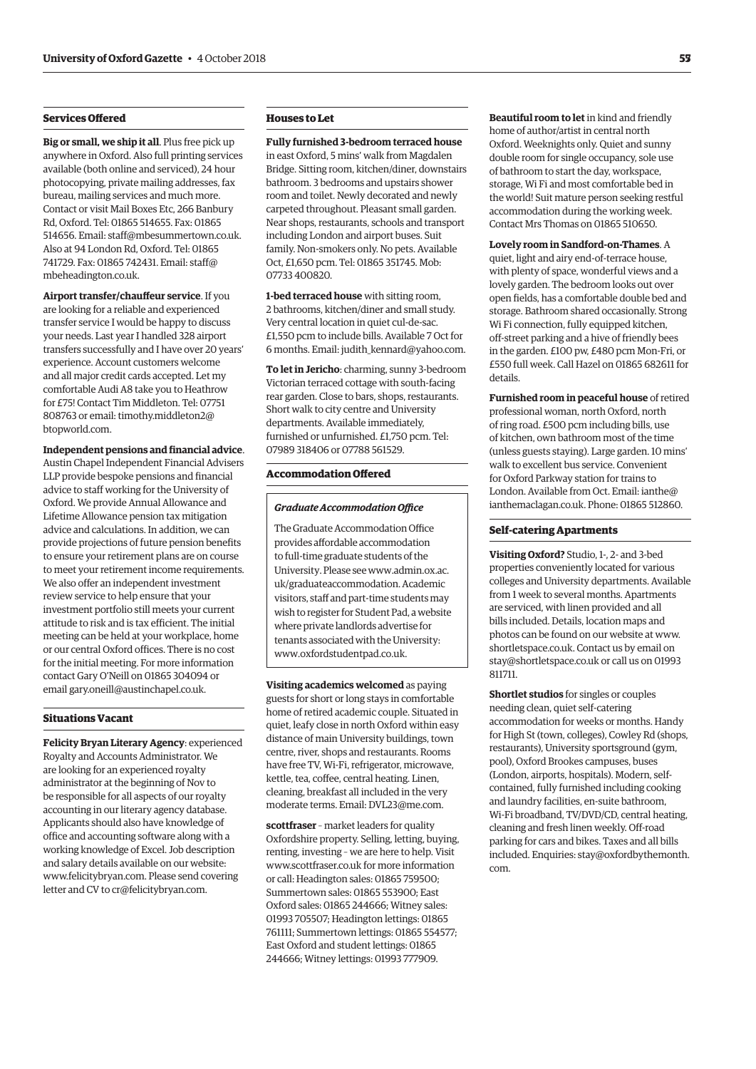#### **Services Offered**

**Big or small, we ship it all**. Plus free pick up anywhere in Oxford. Also full printing services available (both online and serviced), 24 hour photocopying, private mailing addresses, fax bureau, mailing services and much more. Contact or visit Mail Boxes Etc, 266 Banbury Rd, Oxford. Tel: 01865 514655. Fax: 01865 514656. Email: [staff@mbesummertown.co.uk.](mailto:staff@mbesummertown.co.uk)  Also at 94 London Rd, Oxford. Tel: 01865 [741729. Fax: 01865 742431. Email: staff@](mailto:staff@mbeheadington.co.uk) mbeheadington.co.uk.

**Airport transfer/chauffeur service**. If you are looking for a reliable and experienced transfer service I would be happy to discuss your needs. Last year I handled 328 airport transfers successfully and I have over 20 years' experience. Account customers welcome and all major credit cards accepted. Let my comfortable Audi A8 take you to Heathrow for £75! Contact Tim Middleton. Tel: 07751 [808763 or email: timothy.middleton2@](mailto:timothy.middleton2@btopworld.com) btopworld.com.

#### **Independent pensions and financial advice**.

Austin Chapel Independent Financial Advisers LLP provide bespoke pensions and financial advice to staff working for the University of Oxford. We provide Annual Allowance and Lifetime Allowance pension tax mitigation advice and calculations. In addition, we can provide projections of future pension benefits to ensure your retirement plans are on course to meet your retirement income requirements. We also offer an independent investment review service to help ensure that your investment portfolio still meets your current attitude to risk and is tax efficient. The initial meeting can be held at your workplace, home or our central Oxford offices. There is no cost for the initial meeting. For more information contact Gary O'Neill on 01865 304094 or email [gary.oneill@austinchapel.co.uk.](mailto:gary.oneill@austinchapel.co.uk)

#### **Situations Vacant**

**Felicity Bryan Literary Agency**: experienced Royalty and Accounts Administrator. We are looking for an experienced royalty administrator at the beginning of Nov to be responsible for all aspects of our royalty accounting in our literary agency database. Applicants should also have knowledge of office and accounting software along with a working knowledge of Excel. Job description and salary details available on our website: [www.felicitybryan.com. Ple](http://www.felicitybryan.com)ase send covering letter and CV to [cr@felicitybryan.com.](mailto:cr@felicitybryan.com)

#### **Houses to Let**

**Fully furnished 3-bedroom terraced house** in east Oxford, 5 mins' walk from Magdalen Bridge. Sitting room, kitchen/diner, downstairs bathroom. 3 bedrooms and upstairs shower room and toilet. Newly decorated and newly carpeted throughout. Pleasant small garden. Near shops, restaurants, schools and transport including London and airport buses. Suit family. Non-smokers only. No pets. Available Oct, £1,650 pcm. Tel: 01865 351745. Mob: 07733 400820.

**1-bed terraced house** with sitting room, 2 bathrooms, kitchen/diner and small study. Very central location in quiet cul-de-sac. £1,550 pcm to include bills. Available 7 Oct for 6 months. Email: [judith\\_kennard@yahoo.com.](mailto:judith_kennard@yahoo.com)

**To let in Jericho**: charming, sunny 3-bedroom Victorian terraced cottage with south-facing rear garden. Close to bars, shops, restaurants. Short walk to city centre and University departments. Available immediately, furnished or unfurnished. £1,750 pcm. Tel: 07989 318406 or 07788 561529.

#### **Accommodation Offered**

#### *Graduate Accommodation Office*

The Graduate Accommodation Office provides affordable accommodation to full-time graduate students of the [University. Please see www.admin.ox.ac.](www.admin.ox.ac.uk/graduateaccommodation) uk/graduateaccommodation. Academic visitors, staff and part-time students may wish to register for Student Pad, a website where private landlords advertise for tenants associated with the University: [www.oxfordstudentpad.co.uk.](http://www.oxfordstudentpad.co.uk)

**Visiting academics welcomed** as paying guests for short or long stays in comfortable home of retired academic couple. Situated in quiet, leafy close in north Oxford within easy distance of main University buildings, town centre, river, shops and restaurants. Rooms have free TV, Wi-Fi, refrigerator, microwave, kettle, tea, coffee, central heating. Linen, cleaning, breakfast all included in the very moderate terms. Email: [DVL23@me.com.](mailto:DVL23@me.com)

**scottfraser** – market leaders for quality Oxfordshire property. Selling, letting, buying, renting, investing – we are here to help. Visit [www.scottfraser.co.uk fo](http://www.scottfraser.co.uk)r more information or call: Headington sales: 01865 759500; Summertown sales: 01865 553900; East Oxford sales: 01865 244666; Witney sales: 01993 705507; Headington lettings: 01865 761111; Summertown lettings: 01865 554577; East Oxford and student lettings: 01865 244666; Witney lettings: 01993 777909.

**Beautiful room to let** in kind and friendly home of author/artist in central north Oxford. Weeknights only. Quiet and sunny double room for single occupancy, sole use of bathroom to start the day, workspace, storage, Wi Fi and most comfortable bed in the world! Suit mature person seeking restful accommodation during the working week. Contact Mrs Thomas on 01865 510650.

**Lovely room in Sandford-on-Thames**. A quiet, light and airy end-of-terrace house, with plenty of space, wonderful views and a lovely garden. The bedroom looks out over open fields, has a comfortable double bed and storage. Bathroom shared occasionally. Strong Wi Fi connection, fully equipped kitchen, off-street parking and a hive of friendly bees in the garden. £100 pw, £480 pcm Mon-Fri, or £550 full week. Call Hazel on 01865 682611 for details.

**Furnished room in peaceful house** of retired professional woman, north Oxford, north of ring road. £500 pcm including bills, use of kitchen, own bathroom most of the time (unless guests staying). Large garden. 10 mins' walk to excellent bus service. Convenient for Oxford Parkway station for trains to London. Available from Oct. Email: ianthe@ [ianthemaclagan.co.uk. Phone: 01865 512860.](mailto:ianthe@ianthemaclagan.co.uk)

#### **Self-catering Apartments**

**Visiting Oxford?** Studio, 1-, 2- and 3-bed properties conveniently located for various colleges and University departments. Available from 1 week to several months. Apartments are serviced, with linen provided and all bills included. Details, location maps and photos can be found on our website at [www.](http://www.shortletspace.co.uk) [shortletspace.co.uk. Co](http://www.shortletspace.co.uk)ntact us by email on [stay@shortletspace.co.uk or](mailto:stay@shortletspace.co.uk) call us on 01993 811711.

**Shortlet studios** for singles or couples needing clean, quiet self-catering accommodation for weeks or months. Handy for High St (town, colleges), Cowley Rd (shops, restaurants), University sportsground (gym, pool), Oxford Brookes campuses, buses (London, airports, hospitals). Modern, selfcontained, fully furnished including cooking and laundry facilities, en-suite bathroom, Wi-Fi broadband, TV/DVD/CD, central heating, cleaning and fresh linen weekly. Off-road parking for cars and bikes. Taxes and all bills [included. Enquiries: stay@oxfordbythemonth.](mailto:stay@oxfordbythemonth.com) com.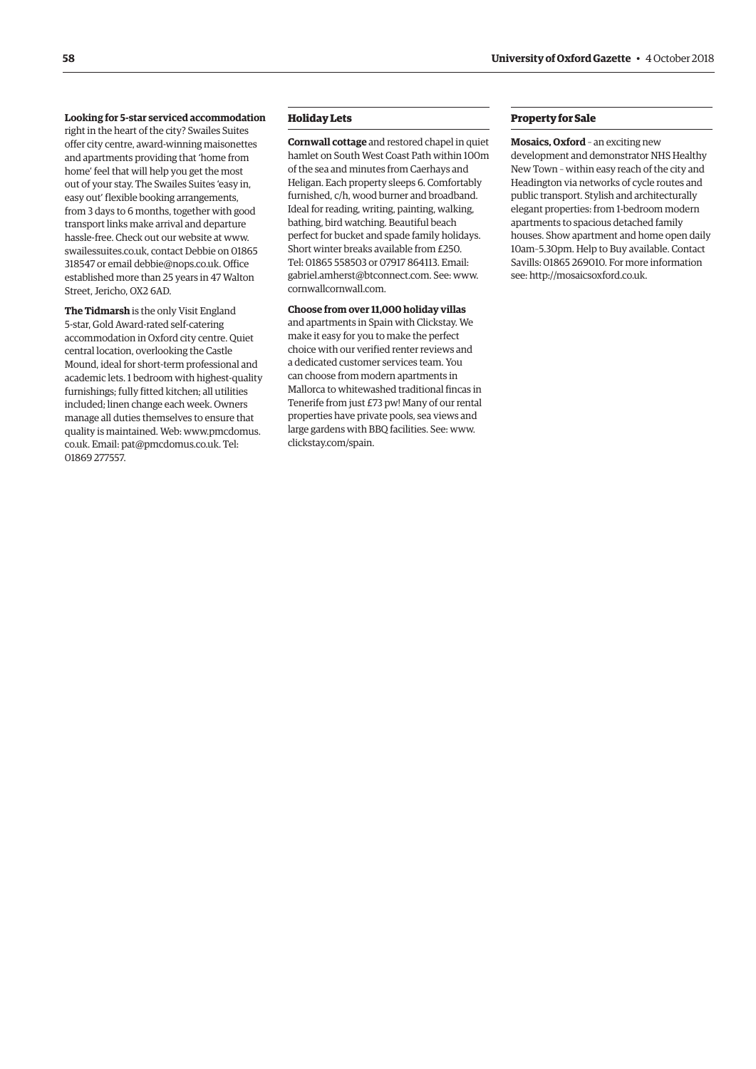#### **Looking for 5-star serviced accommodation**

right in the heart of the city? Swailes Suites offer city centre, award-winning maisonettes and apartments providing that 'home from home' feel that will help you get the most out of your stay. The Swailes Suites 'easy in, easy out' flexible booking arrangements, from 3 days to 6 months, together with good transport links make arrival and departure hassle-free. Check out our website at [www.](http://www.swailessuites.co.uk) [swailessuites.co.uk, co](http://www.swailessuites.co.uk)ntact Debbie on 01865 318547 or email [debbie@nops.co.uk. Of](mailto:debbie@nops.co.uk)fice established more than 25 years in 47 Walton Street, Jericho, OX2 6AD.

**The Tidmarsh** is the only Visit England 5-star, Gold Award-rated self-catering accommodation in Oxford city centre. Quiet central location, overlooking the Castle Mound, ideal for short-term professional and academic lets. 1 bedroom with highest-quality furnishings; fully fitted kitchen; all utilities included; linen change each week. Owners manage all duties themselves to ensure that quality is maintained. [Web: www.pmcdomus.](www.pmcdomus.co.uk) co.uk. Email: [pat@pmcdomus.co.uk. Te](mailto:pat@pmcdomus.co.uk)l: 01869 277557.

#### **Holiday Lets**

**Cornwall cottage** and restored chapel in quiet hamlet on South West Coast Path within 100m of the sea and minutes from Caerhays and Heligan. Each property sleeps 6. Comfortably furnished, c/h, wood burner and broadband. Ideal for reading, writing, painting, walking, bathing, bird watching. Beautiful beach perfect for bucket and spade family holidays. Short winter breaks available from £250. Tel: 01865 558503 or 07917 864113. Email: [gabriel.amherst@btconnect.com. Se](mailto:gabriel.amherst@btconnect.com)e: [www.](http://www.cornwallcornwall.com) [cornwallcornwall.com.](http://www.cornwallcornwall.com)

**Choose from over 11,000 holiday villas** and apartments in Spain with Clickstay. We make it easy for you to make the perfect choice with our verified renter reviews and a dedicated customer services team. You can choose from modern apartments in Mallorca to whitewashed traditional fincas in Tenerife from just £73 pw! Many of our rental properties have private pools, sea views and large gardens with BBQ facilities. See: [www.](http://www.clickstay.com/spain) [clickstay.com/spain.](http://www.clickstay.com/spain)

#### **Property for Sale**

**Mosaics, Oxford** – an exciting new development and demonstrator NHS Healthy New Town – within easy reach of the city and Headington via networks of cycle routes and public transport. Stylish and architecturally elegant properties: from 1-bedroom modern apartments to spacious detached family houses. Show apartment and home open daily 10am–5.30pm. Help to Buy available. Contact Savills: 01865 269010. For more information see: [http://mosaicsoxford.co.uk.](http://mosaicsoxford.co.uk)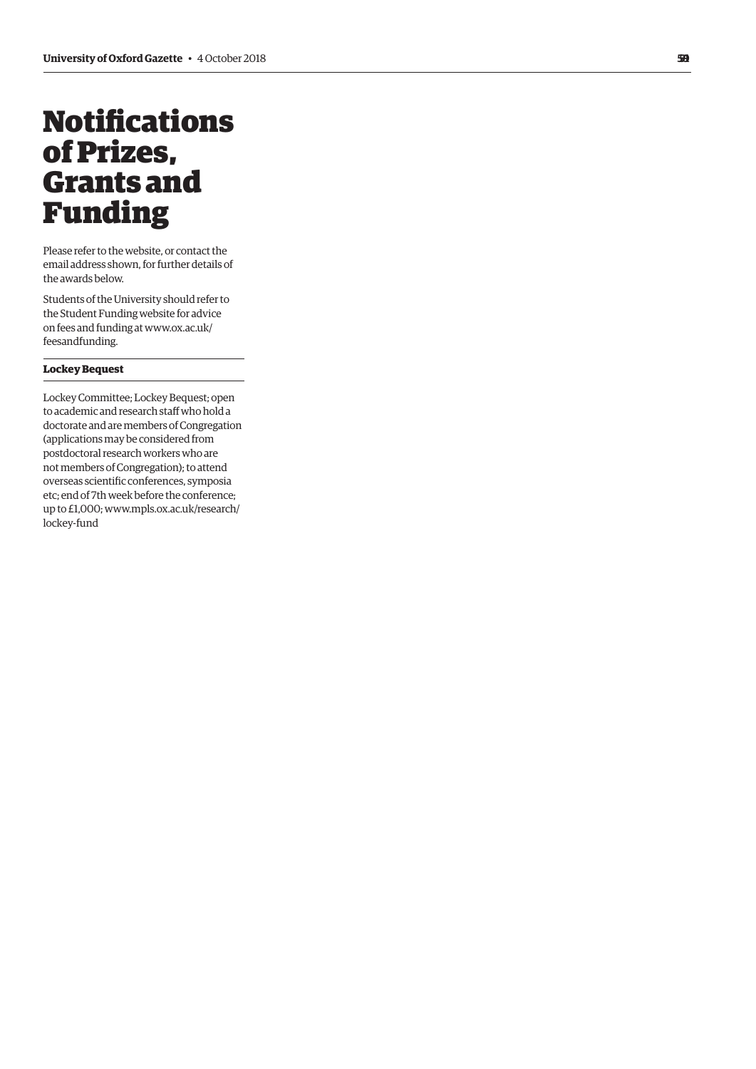## <span id="page-10-0"></span>**Notifications** of Prizes, Grants and Funding

Please refer to the website, or contact the email address shown, for further details of the awards below.

Students of the University should refer to the Student Funding website for advice [on fees and funding at www.ox.ac.uk/](www.ox.ac.uk/feesandfunding) feesandfunding.

#### **Lockey Bequest**

Lockey Committee; Lockey Bequest; open to academic and research staff who hold a doctorate and are members of Congregation (applications may be considered from postdoctoral research workers who are not members of Congregation); to attend overseas scientific conferences, symposia etc; end of 7th week before the conference; [up to £1,000; www.mpls.ox.ac.uk/research/](www.mpls.ox.ac.uk/research/lockey-fund)  lockey-fund